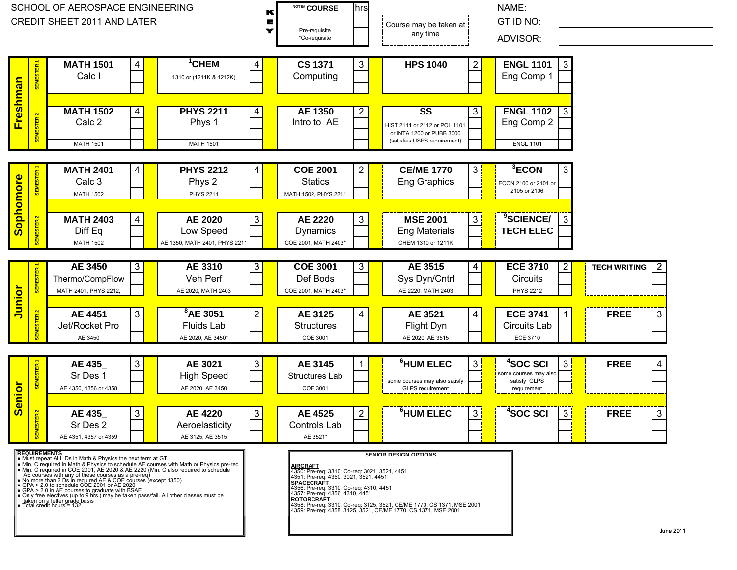